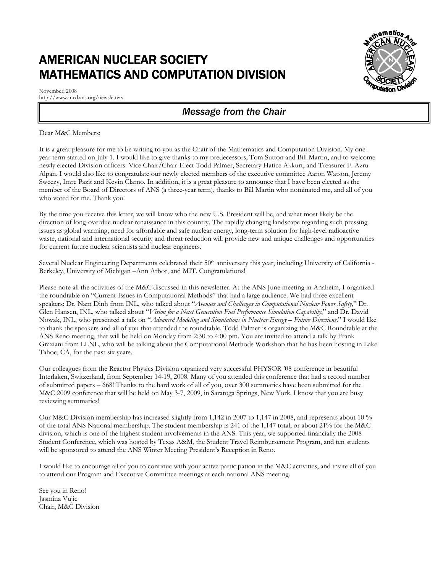## AMERICAN NUCLEAR SOCIETY MATHEMATICS AND COMPUTATION DIVISION



# s<sup>athematics</sup> **A N S**

## *Message from the Chair*

## Dear M&C Members:

It is a great pleasure for me to be writing to you as the Chair of the Mathematics and Computation Division. My oneyear term started on July 1. I would like to give thanks to my predecessors, Tom Sutton and Bill Martin, and to welcome newly elected Division officers: Vice Chair/Chair-Elect Todd Palmer, Secretary Hatice Akkurt, and Treasurer F. Azru Alpan. I would also like to congratulate our newly elected members of the executive committee Aaron Watson, Jeremy Sweezy, Imre Pazit and Kevin Clarno. In addition, it is a great pleasure to announce that I have been elected as the member of the Board of Directors of ANS (a three-year term), thanks to Bill Martin who nominated me, and all of you who voted for me. Thank you!

By the time you receive this letter, we will know who the new U.S. President will be, and what most likely be the direction of long-overdue nuclear renaissance in this country. The rapidly changing landscape regarding such pressing issues as global warming, need for affordable and safe nuclear energy, long-term solution for high-level radioactive waste, national and international security and threat reduction will provide new and unique challenges and opportunities for current future nuclear scientists and nuclear engineers.

Several Nuclear Engineering Departments celebrated their 50<sup>th</sup> anniversary this year, including University of California -Berkeley, University of Michigan –Ann Arbor, and MIT. Congratulations!

Please note all the activities of the M&C discussed in this newsletter. At the ANS June meeting in Anaheim, I organized the roundtable on "Current Issues in Computational Methods" that had a large audience. We had three excellent speakers: Dr. Nam Dinh from INL, who talked about "*Avenues and Challenges in Computational Nuclear Power Safety*," Dr. Glen Hansen, INL, who talked about "*Vision for a Next Generation Fuel Performance Simulation Capability*," and Dr. David Nowak, INL, who presented a talk on "*Advanced Modeling and Simulations in Nuclear Energy – Future Directions*." I would like to thank the speakers and all of you that attended the roundtable. Todd Palmer is organizing the M&C Roundtable at the ANS Reno meeting, that will be held on Monday from 2:30 to 4:00 pm. You are invited to attend a talk by Frank Graziani from LLNL, who will be talking about the Computational Methods Workshop that he has been hosting in Lake Tahoe, CA, for the past six years.

Our colleagues from the Reactor Physics Division organized very successful PHYSOR '08 conference in beautiful Interlaken, Switzerland, from September 14-19, 2008. Many of you attended this conference that had a record number of submitted papers – 668! Thanks to the hard work of all of you, over 300 summaries have been submitted for the M&C 2009 conference that will be held on May 3-7, 2009, in Saratoga Springs, New York. I know that you are busy reviewing summaries!

Our M&C Division membership has increased slightly from 1,142 in 2007 to 1,147 in 2008, and represents about 10 % of the total ANS National membership. The student membership is 241 of the 1,147 total, or about 21% for the M&C division, which is one of the highest student involvements in the ANS. This year, we supported financially the 2008 Student Conference, which was hosted by Texas A&M, the Student Travel Reimbursement Program, and ten students will be sponsored to attend the ANS Winter Meeting President's Reception in Reno.

I would like to encourage all of you to continue with your active participation in the M&C activities, and invite all of you to attend our Program and Executive Committee meetings at each national ANS meeting.

See you in Reno! Jasmina Vujic Chair, M&C Division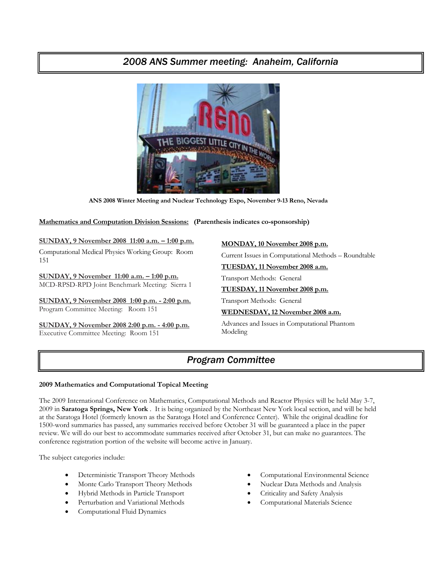## *2008 ANS Summer meeting: Anaheim, California*



**ANS 2008 Winter Meeting and Nuclear Technology Expo, November 9-13 Reno, Nevada** 

## **Mathematics and Computation Division Sessions: (Parenthesis indicates co-sponsorship)**

## **SUNDAY, 9 November 2008 11:00 a.m. – 1:00 p.m.**

Computational Medical Physics Working Group: Room 151

**SUNDAY, 9 November 11:00 a.m. – 1:00 p.m.** MCD-RPSD-RPD Joint Benchmark Meeting: Sierra 1

**SUNDAY, 9 November 2008 1:00 p.m. - 2:00 p.m.** Program Committee Meeting: Room 151

**SUNDAY, 9 November 2008 2:00 p.m. - 4:00 p.m.** Executive Committee Meeting: Room 151

**MONDAY, 10 November 2008 p.m.**

Current Issues in Computational Methods – Roundtable

**TUESDAY, 11 November 2008 a.m.**

Transport Methods: General

### **TUESDAY, 11 November 2008 p.m.**

Transport Methods: General

#### **WEDNESDAY, 12 November 2008 a.m.**

Advances and Issues in Computational Phantom Modeling

## *Program Committee*

## **2009 Mathematics and Computational Topical Meeting**

The 2009 International Conference on Mathematics, Computational Methods and Reactor Physics will be held May 3-7, 2009 in **Saratoga Springs, New York** . It is being organized by the Northeast New York local section, and will be held at the Saratoga Hotel (formerly known as the Saratoga Hotel and Conference Center). While the original deadline for 1500-word summaries has passed, any summaries received before October 31 will be guaranteed a place in the paper review. We will do our best to accommodate summaries received after October 31, but can make no guarantees. The conference registration portion of the website will become active in January.

The subject categories include:

- Deterministic Transport Theory Methods
- Monte Carlo Transport Theory Methods
- Hybrid Methods in Particle Transport
- Perturbation and Variational Methods
- Computational Fluid Dynamics
- Computational Environmental Science
- Nuclear Data Methods and Analysis
- Criticality and Safety Analysis
- Computational Materials Science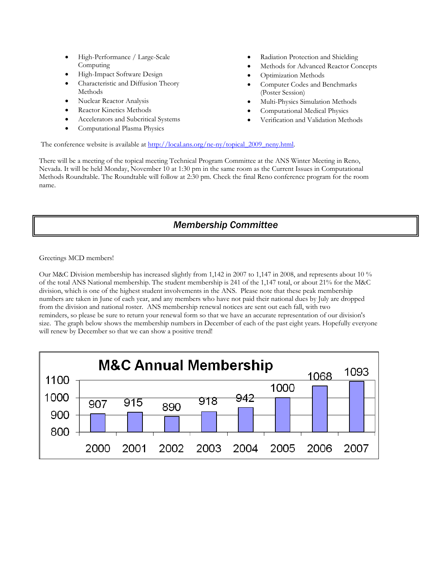- High-Performance / Large-Scale Computing
- High-Impact Software Design
- Characteristic and Diffusion Theory Methods
- Nuclear Reactor Analysis
- Reactor Kinetics Methods
- Accelerators and Subcritical Systems
- Computational Plasma Physics
- Radiation Protection and Shielding
- Methods for Advanced Reactor Concepts
- Optimization Methods
- Computer Codes and Benchmarks (Poster Session)
- Multi-Physics Simulation Methods
- Computational Medical Physics
- Verification and Validation Methods

The conference website is available at http://local.ans.org/ne-ny/topical\_2009\_neny.html.

There will be a meeting of the topical meeting Technical Program Committee at the ANS Winter Meeting in Reno, Nevada. It will be held Monday, November 10 at 1:30 pm in the same room as the Current Issues in Computational Methods Roundtable. The Roundtable will follow at 2:30 pm. Check the final Reno conference program for the room name.

## *Membership Committee*

Greetings MCD members!

Our M&C Division membership has increased slightly from 1,142 in 2007 to 1,147 in 2008, and represents about 10 % of the total ANS National membership. The student membership is 241 of the 1,147 total, or about 21% for the M&C division, which is one of the highest student involvements in the ANS. Please note that these peak membership numbers are taken in June of each year, and any members who have not paid their national dues by July are dropped from the division and national roster. ANS membership renewal notices are sent out each fall, with two reminders, so please be sure to return your renewal form so that we have an accurate representation of our division's size. The graph below shows the membership numbers in December of each of the past eight years. Hopefully everyone will renew by December so that we can show a positive trend!

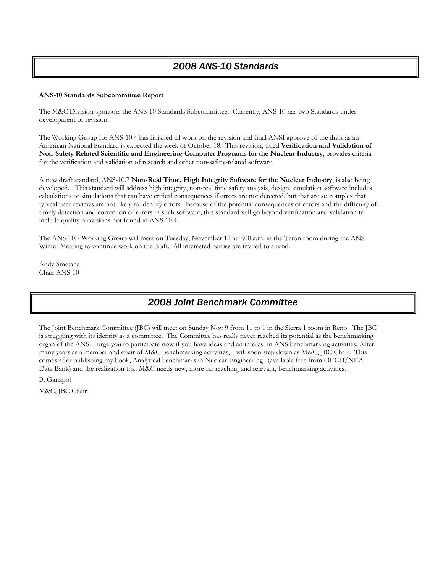### **ANS-10 Standards Subcommittee Report**

The M&C Division sponsors the ANS-10 Standards Subcommittee. Currently, ANS-10 has two Standards under development or revision.

The Working Group for ANS-10.4 has finished all work on the revision and final ANSI approve of the draft as an American National Standard is expected the week of October 18. This revision, titled **Verification and Validation of Non-Safety Related Scientific and Engineering Computer Programs for the Nuclear Industry**, provides criteria for the verification and validation of research and other non-safety-related software.

A new draft standard, ANS-10.7 **Non-Real Time, High Integrity Software for the Nuclear Industry**, is also being developed. This standard will address high integrity, non-real time safety analysis, design, simulation software includes calculations or simulations that can have critical consequences if errors are not detected, but that are so complex that typical peer reviews are not likely to identify errors. Because of the potential consequences of errors and the difficulty of timely detection and correction of errors in such software, this standard will go beyond verification and validation to include quality provisions not found in ANS 10.4.

The ANS-10.7 Working Group will meet on Tuesday, November 11 at 7:00 a.m. in the Teton room during the ANS Winter Meeting to continue work on the draft. All interested parties are invited to attend.

Andy Smetana Chair ANS-10

## *2008 Joint Benchmark Committee*

The Joint Benchmark Committee (JBC) will meet on Sunday Nov 9 from 11 to 1 in the Sierra 1 room in Reno. The JBC is struggling with its identity as a committee. The Committee has really never reached its potential as the benchmarking organ of the ANS. I urge you to participate now if you have ideas and an interest in ANS benchmarking activities. After many years as a member and chair of M&C benchmarking activities, I will soon step down as M&C, JBC Chair. This comes after publishing my book, Analytical benchmarks in Nuclear Engineering" (available free from OECD/NEA Data Bank) and the realization that M&C needs new, more far reaching and relevant, benchmarking activities.

B. Ganapol

M&C, JBC Chair